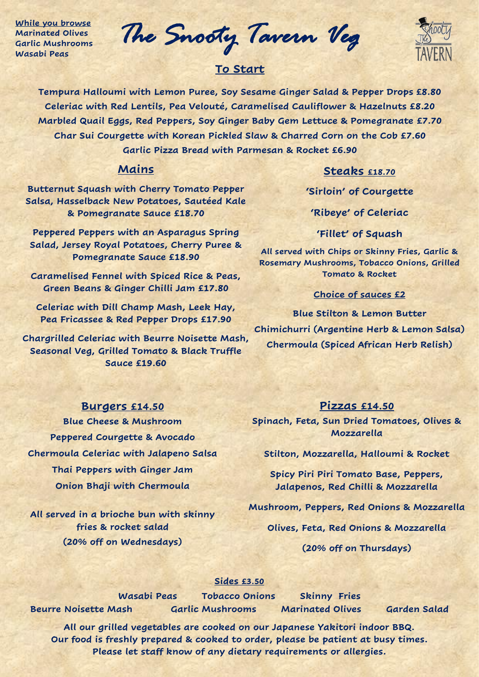**While you browse Marinated Olives Garlic Mushrooms Wasabi Peas**

*The Snooty Tavern Veg* 

# **To Start**

**Tempura Halloumi with Lemon Puree, Soy Sesame Ginger Salad & Pepper Drops £8.80 Celeriac with Red Lentils, Pea Velouté, Caramelised Cauliflower & Hazelnuts £8.20 Marbled Quail Eggs, Red Peppers, Soy Ginger Baby Gem Lettuce & Pomegranate £7.70 Char Sui Courgette with Korean Pickled Slaw & Charred Corn on the Cob £7.60 Garlic Pizza Bread with Parmesan & Rocket £6.90**

#### **Mains**

#### **Steaks £18.70**

**Butternut Squash with Cherry Tomato Pepper Salsa, Hasselback New Potatoes, Sautéed Kale & Pomegranate Sauce £18.70**

**Peppered Peppers with an Asparagus Spring Salad, Jersey Royal Potatoes, Cherry Puree & Pomegranate Sauce £18.90**

**Caramelised Fennel with Spiced Rice & Peas, Green Beans & Ginger Chilli Jam £17.80**

**Celeriac with Dill Champ Mash, Leek Hay, Pea Fricassee & Red Pepper Drops £17.90**

**Chargrilled Celeriac with Beurre Noisette Mash, Seasonal Veg, Grilled Tomato & Black Truffle Sauce £19.60**

## **'Sirloin' of Courgette**

**'Ribeye' of Celeriac**

**'Fillet' of Squash**

**All served with Chips or Skinny Fries, Garlic & Rosemary Mushrooms, Tobacco Onions, Grilled Tomato & Rocket**

## **Choice of sauces £2**

**Blue Stilton & Lemon Butter Chimichurri (Argentine Herb & Lemon Salsa) Chermoula (Spiced African Herb Relish)** 

#### **Burgers £14.50**

**Blue Cheese & Mushroom Peppered Courgette & Avocado Chermoula Celeriac with Jalapeno Salsa Thai Peppers with Ginger Jam Onion Bhaji with Chermoula**

**All served in a brioche bun with skinny fries & rocket salad (20% off on Wednesdays)**

## **Pizzas £14.50**

**Spinach, Feta, Sun Dried Tomatoes, Olives & Mozzarella**

**Stilton, Mozzarella, Halloumi & Rocket**

**Spicy Piri Piri Tomato Base, Peppers, Jalapenos, Red Chilli & Mozzarella**

**Mushroom, Peppers, Red Onions & Mozzarella**

**Olives, Feta, Red Onions & Mozzarella**

**(20% off on Thursdays)**

#### **Sides £3.50**

**Beurre Noisette Mash Garlic Mushrooms Marinated Olives Garden Salad**

**Wasabi Peas Tobacco Onions Skinny Fries**

**All our grilled vegetables are cooked on our Japanese Yakitori indoor BBQ. Our food is freshly prepared & cooked to order, please be patient at busy times. Please let staff know of any dietary requirements or allergies.**